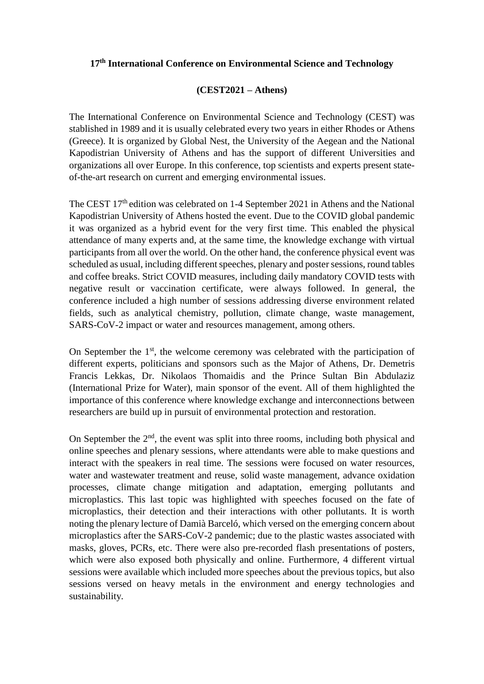## **17th International Conference on Environmental Science and Technology**

## **(CEST2021 – Athens)**

The International Conference on Environmental Science and Technology (CEST) was stablished in 1989 and it is usually celebrated every two years in either Rhodes or Athens (Greece). It is organized by Global Nest, the University of the Aegean and the National Kapodistrian University of Athens and has the support of different Universities and organizations all over Europe. In this conference, top scientists and experts present stateof-the-art research on current and emerging environmental issues.

The CEST 17<sup>th</sup> edition was celebrated on 1-4 September 2021 in Athens and the National Kapodistrian University of Athens hosted the event. Due to the COVID global pandemic it was organized as a hybrid event for the very first time. This enabled the physical attendance of many experts and, at the same time, the knowledge exchange with virtual participants from all over the world. On the other hand, the conference physical event was scheduled as usual, including different speeches, plenary and poster sessions, round tables and coffee breaks. Strict COVID measures, including daily mandatory COVID tests with negative result or vaccination certificate, were always followed. In general, the conference included a high number of sessions addressing diverse environment related fields, such as analytical chemistry, pollution, climate change, waste management, SARS-CoV-2 impact or water and resources management, among others.

On September the 1<sup>st</sup>, the welcome ceremony was celebrated with the participation of different experts, politicians and sponsors such as the Major of Athens, Dr. Demetris Francis Lekkas, Dr. Nikolaos Thomaidis and the Prince Sultan Bin Abdulaziz (International Prize for Water), main sponsor of the event. All of them highlighted the importance of this conference where knowledge exchange and interconnections between researchers are build up in pursuit of environmental protection and restoration.

On September the  $2<sup>nd</sup>$ , the event was split into three rooms, including both physical and online speeches and plenary sessions, where attendants were able to make questions and interact with the speakers in real time. The sessions were focused on water resources, water and wastewater treatment and reuse, solid waste management, advance oxidation processes, climate change mitigation and adaptation, emerging pollutants and microplastics. This last topic was highlighted with speeches focused on the fate of microplastics, their detection and their interactions with other pollutants. It is worth noting the plenary lecture of Damià Barceló, which versed on the emerging concern about microplastics after the SARS-CoV-2 pandemic; due to the plastic wastes associated with masks, gloves, PCRs, etc. There were also pre-recorded flash presentations of posters, which were also exposed both physically and online. Furthermore, 4 different virtual sessions were available which included more speeches about the previous topics, but also sessions versed on heavy metals in the environment and energy technologies and sustainability.